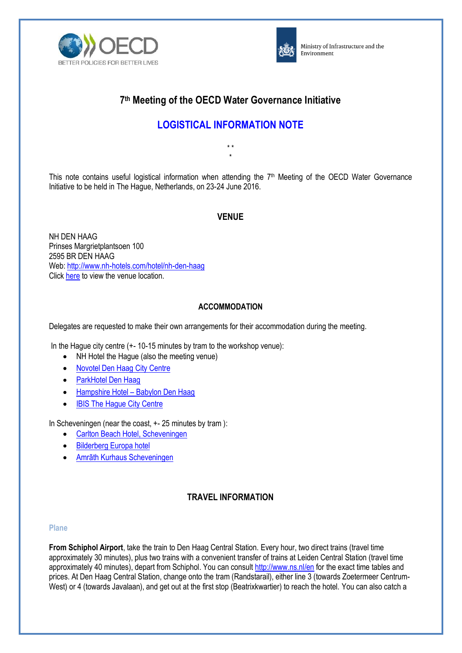



Ministry of Infrastructure and the Environment

# **7 th Meeting of the OECD Water Governance Initiative**

# **LOGISTICAL INFORMATION NOTE**

\* \* \*

This note contains useful logistical information when attending the 7<sup>th</sup> Meeting of the OECD Water Governance Initiative to be held in The Hague, Netherlands, on 23-24 June 2016.

# **VENUE**

NH DEN HAAG Prinses Margrietplantsoen 100 2595 BR DEN HAAG Web: <http://www.nh-hotels.com/hotel/nh-den-haag> Click [here](http://www.nh-hotels.com/hotel/nh-den-haag/map) to view the venue location.

### **ACCOMMODATION**

Delegates are requested to make their own arrangements for their accommodation during the meeting.

In the Hague city centre (+- 10-15 minutes by tram to the workshop venue):

- NH Hotel the Haque (also the meeting venue)
- [Novotel Den Haag City Centre](http://www.novotel.com/gb/hotel-1180-novotel-den-haag-city-centre/index.shtml)
- [ParkHotel Den Haag](http://www.parkhoteldenhaag.nl/)
- Hampshire Hotel [Babylon Den Haag](http://www.hampshire-hotels.com/en/hampshire-hotel-babylon-the-hague)
- [IBIS The Hague City Centre](http://www.ibis.com/en/hotel-3701-ibis-den-haag-city-centre/index.shtml)

In Scheveningen (near the coast, +- 25 minutes by tram ):

- [Carlton Beach Hotel, Scheveningen](https://www.carlton.nl/en/beach-hotel-scheveningen)
- [Bilderberg Europa hotel](https://www.bilderberg.nl/en/den-haag/europa-hotel-scheveningen/)
- [Amrãth Kurhaus Scheveningen](http://www.amrathkurhaus.com/en/)

# **TRAVEL INFORMATION**

#### **Plane**

**From Schiphol Airport**, take the train to Den Haag Central Station. Every hour, two direct trains (travel time approximately 30 minutes), plus two trains with a convenient transfer of trains at Leiden Central Station (travel time approximately 40 minutes), depart from Schiphol. You can consult<http://www.ns.nl/en> for the exact time tables and prices. At Den Haag Central Station, change onto the tram (Randstarail), either line 3 (towards Zoetermeer Centrum-West) or 4 (towards Javalaan), and get out at the first stop (Beatrixkwartier) to reach the hotel. You can also catch a